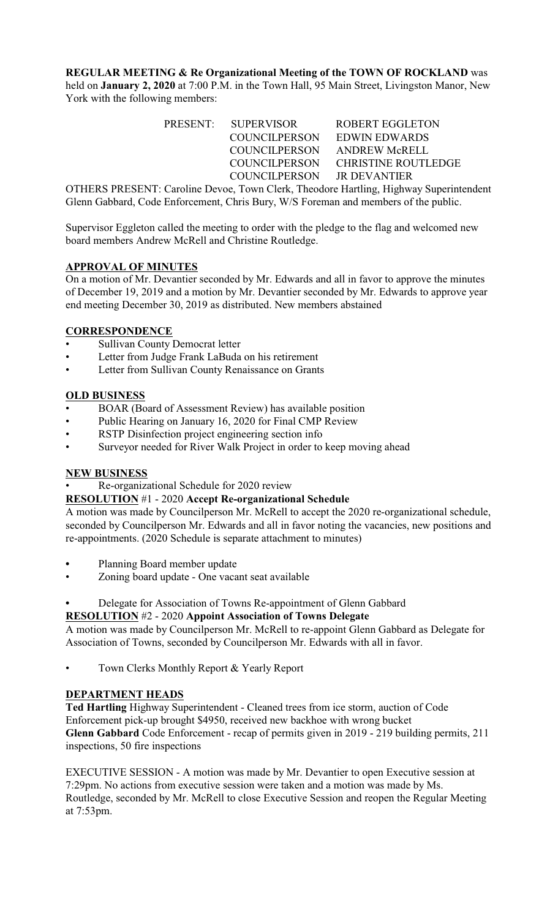**REGULAR MEETING & Re Organizational Meeting of the TOWN OF ROCKLAND** was held on **January 2, 2020** at 7:00 P.M. in the Town Hall, 95 Main Street, Livingston Manor, New York with the following members:

| PRESENT: SUPERVISOR        | ROBERT EGGLETON             |
|----------------------------|-----------------------------|
| <b>COUNCILPERSON</b>       | EDWIN EDWARDS               |
|                            | COUNCILPERSON ANDREW McRELL |
| COUNCILPERSON              | CHRISTINE ROUTLEDGE         |
| COUNCILPERSON JR DEVANTIER |                             |

OTHERS PRESENT: Caroline Devoe, Town Clerk, Theodore Hartling, Highway Superintendent Glenn Gabbard, Code Enforcement, Chris Bury, W/S Foreman and members of the public.

Supervisor Eggleton called the meeting to order with the pledge to the flag and welcomed new board members Andrew McRell and Christine Routledge.

## **APPROVAL OF MINUTES**

On a motion of Mr. Devantier seconded by Mr. Edwards and all in favor to approve the minutes of December 19, 2019 and a motion by Mr. Devantier seconded by Mr. Edwards to approve year end meeting December 30, 2019 as distributed. New members abstained

## **CORRESPONDENCE**

- Sullivan County Democrat letter
- Letter from Judge Frank LaBuda on his retirement
- Letter from Sullivan County Renaissance on Grants

#### **OLD BUSINESS**

- BOAR (Board of Assessment Review) has available position
- Public Hearing on January 16, 2020 for Final CMP Review
- RSTP Disinfection project engineering section info
- Surveyor needed for River Walk Project in order to keep moving ahead

#### **NEW BUSINESS**

• Re-organizational Schedule for 2020 review

#### **RESOLUTION** #1 - 2020 **Accept Re-organizational Schedule**

A motion was made by Councilperson Mr. McRell to accept the 2020 re-organizational schedule, seconded by Councilperson Mr. Edwards and all in favor noting the vacancies, new positions and re-appointments. (2020 Schedule is separate attachment to minutes)

- **•** Planning Board member update
- Zoning board update One vacant seat available
- **•** Delegate for Association of Towns Re-appointment of Glenn Gabbard

# **RESOLUTION** #2 - 2020 **Appoint Association of Towns Delegate**

A motion was made by Councilperson Mr. McRell to re-appoint Glenn Gabbard as Delegate for Association of Towns, seconded by Councilperson Mr. Edwards with all in favor.

Town Clerks Monthly Report & Yearly Report

#### **DEPARTMENT HEADS**

**Ted Hartling** Highway Superintendent - Cleaned trees from ice storm, auction of Code Enforcement pick-up brought \$4950, received new backhoe with wrong bucket **Glenn Gabbard** Code Enforcement - recap of permits given in 2019 - 219 building permits, 211 inspections, 50 fire inspections

EXECUTIVE SESSION - A motion was made by Mr. Devantier to open Executive session at 7:29pm. No actions from executive session were taken and a motion was made by Ms. Routledge, seconded by Mr. McRell to close Executive Session and reopen the Regular Meeting at 7:53pm.